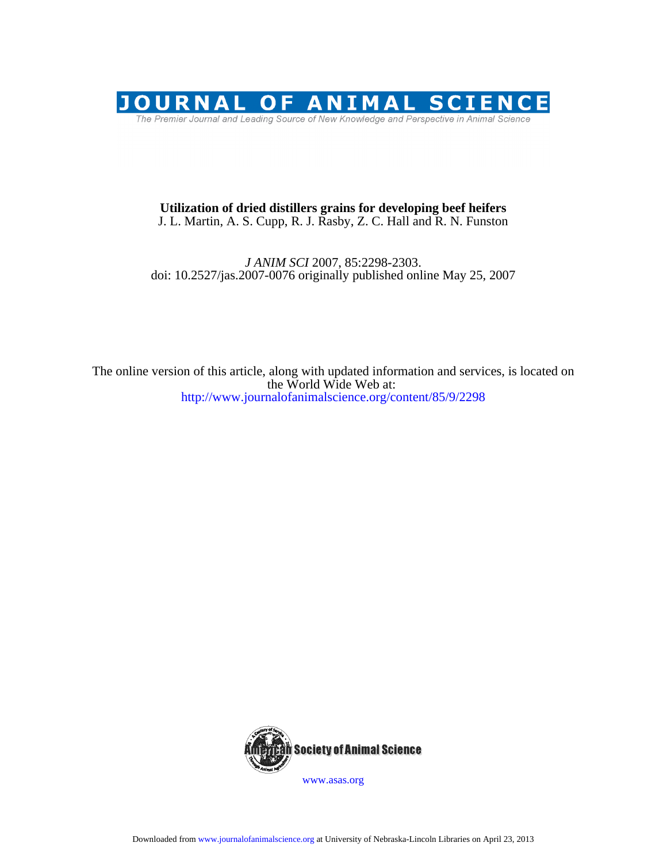

# J. L. Martin, A. S. Cupp, R. J. Rasby, Z. C. Hall and R. N. Funston **Utilization of dried distillers grains for developing beef heifers**

## doi: 10.2527/jas.2007-0076 originally published online May 25, 2007 *J ANIM SCI* 2007, 85:2298-2303.

http://www.journalofanimalscience.org/content/85/9/2298 the World Wide Web at: The online version of this article, along with updated information and services, is located on



www.asas.org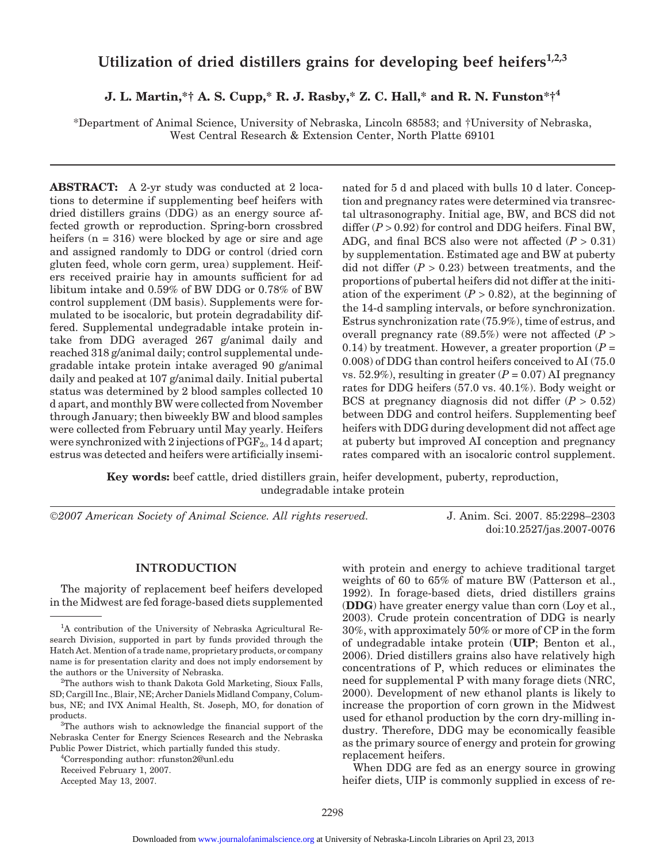# Utilization of dried distillers grains for developing beef heifers<sup>1,2,3</sup>

**J. L. Martin,\*† A. S. Cupp,\* R. J. Rasby,\* Z. C. Hall,\* and R. N. Funston\*†4**

\*Department of Animal Science, University of Nebraska, Lincoln 68583; and †University of Nebraska, West Central Research & Extension Center, North Platte 69101

**ABSTRACT:** A 2-yr study was conducted at 2 locations to determine if supplementing beef heifers with dried distillers grains (DDG) as an energy source affected growth or reproduction. Spring-born crossbred heifers  $(n = 316)$  were blocked by age or sire and age and assigned randomly to DDG or control (dried corn gluten feed, whole corn germ, urea) supplement. Heifers received prairie hay in amounts sufficient for ad libitum intake and 0.59% of BW DDG or 0.78% of BW control supplement (DM basis). Supplements were formulated to be isocaloric, but protein degradability differed. Supplemental undegradable intake protein intake from DDG averaged 267 g/animal daily and reached 318 g/animal daily; control supplemental undegradable intake protein intake averaged 90 g/animal daily and peaked at 107 g/animal daily. Initial pubertal status was determined by 2 blood samples collected 10 d apart, and monthly BW were collected from November through January; then biweekly BW and blood samples were collected from February until May yearly. Heifers were synchronized with 2 injections of  $PGF_{2\alpha} 14$  d apart; estrus was detected and heifers were artificially inseminated for 5 d and placed with bulls 10 d later. Conception and pregnancy rates were determined via transrectal ultrasonography. Initial age, BW, and BCS did not differ  $(P > 0.92)$  for control and DDG heifers. Final BW, ADG, and final BCS also were not affected  $(P > 0.31)$ by supplementation. Estimated age and BW at puberty did not differ  $(P > 0.23)$  between treatments, and the proportions of pubertal heifers did not differ at the initiation of the experiment  $(P > 0.82)$ , at the beginning of the 14-d sampling intervals, or before synchronization. Estrus synchronization rate (75.9%), time of estrus, and overall pregnancy rate (89.5%) were not affected (*P* > 0.14) by treatment. However, a greater proportion  $(P =$ 0.008) of DDG than control heifers conceived to AI (75.0 vs. 52.9%), resulting in greater  $(P = 0.07)$  AI pregnancy rates for DDG heifers (57.0 vs. 40.1%). Body weight or BCS at pregnancy diagnosis did not differ  $(P > 0.52)$ between DDG and control heifers. Supplementing beef heifers with DDG during development did not affect age at puberty but improved AI conception and pregnancy rates compared with an isocaloric control supplement.

**Key words:** beef cattle, dried distillers grain, heifer development, puberty, reproduction, undegradable intake protein

©*2007 American Society of Animal Science. All rights reserved.* J. Anim. Sci. 2007. 85:2298–2303

doi:10.2527/jas.2007-0076

## **INTRODUCTION**

The majority of replacement beef heifers developed in the Midwest are fed forage-based diets supplemented

4 Corresponding author: rfunston2@unl.edu

Accepted May 13, 2007.

with protein and energy to achieve traditional target weights of 60 to 65% of mature BW (Patterson et al., 1992). In forage-based diets, dried distillers grains (**DDG**) have greater energy value than corn (Loy et al., 2003). Crude protein concentration of DDG is nearly 30%, with approximately 50% or more of CP in the form of undegradable intake protein (**UIP**; Benton et al., 2006). Dried distillers grains also have relatively high concentrations of P, which reduces or eliminates the need for supplemental P with many forage diets (NRC, 2000). Development of new ethanol plants is likely to increase the proportion of corn grown in the Midwest used for ethanol production by the corn dry-milling industry. Therefore, DDG may be economically feasible as the primary source of energy and protein for growing replacement heifers.

When DDG are fed as an energy source in growing heifer diets, UIP is commonly supplied in excess of re-

<sup>&</sup>lt;sup>1</sup>A contribution of the University of Nebraska Agricultural Research Division, supported in part by funds provided through the Hatch Act. Mention of a trade name, proprietary products, or company name is for presentation clarity and does not imply endorsement by the authors or the University of Nebraska.

 $^{2}$ The authors wish to thank Dakota Gold Marketing, Sioux Falls, SD; Cargill Inc., Blair, NE; Archer Daniels Midland Company, Columbus, NE; and IVX Animal Health, St. Joseph, MO, for donation of products.

<sup>&</sup>lt;sup>3</sup>The authors wish to acknowledge the financial support of the Nebraska Center for Energy Sciences Research and the Nebraska Public Power District, which partially funded this study.

Received February 1, 2007.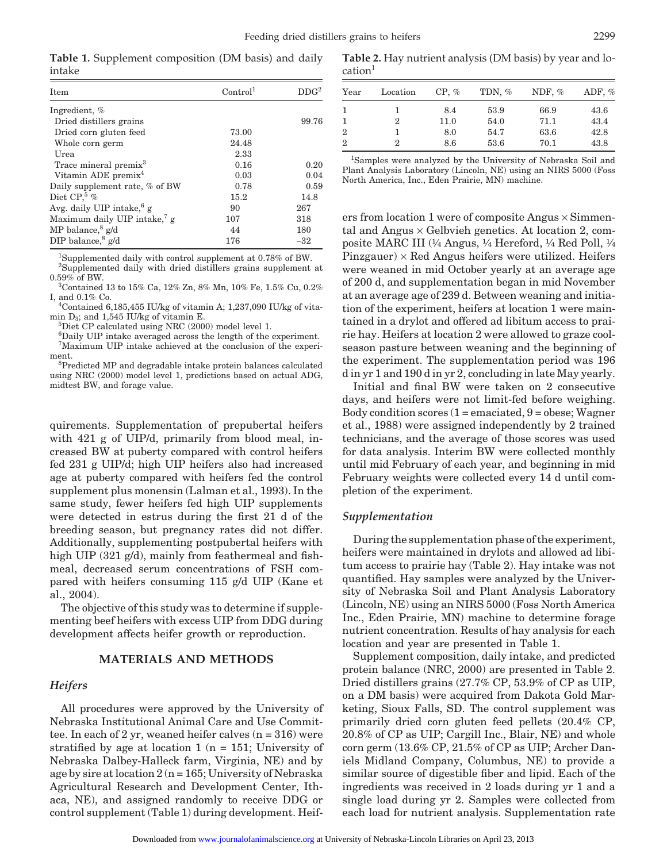**Table 1.** Supplement composition (DM basis) and daily intake

| Item                                     | Control <sup>1</sup> | DDG <sup>2</sup> |
|------------------------------------------|----------------------|------------------|
| Ingredient, %                            |                      |                  |
| Dried distillers grains                  |                      | 99.76            |
| Dried corn gluten feed                   | 73.00                |                  |
| Whole corn germ                          | 24.48                |                  |
| Urea                                     | 2.33                 |                  |
| Trace mineral premix <sup>3</sup>        | 0.16                 | 0.20             |
| Vitamin ADE premix <sup>4</sup>          | 0.03                 | 0.04             |
| Daily supplement rate, % of BW           | 0.78                 | 0.59             |
| Diet CP. <sup>5</sup> %                  | 15.2                 | 14.8             |
| Avg. daily UIP intake, $6g$              | 90                   | 267              |
| Maximum daily UIP intake, <sup>7</sup> g | 107                  | 318              |
| MP balance, $g/d$                        | 44                   | 180              |
| DIP balance, $g/d$                       | 176                  | $-32$            |

1 Supplemented daily with control supplement at 0.78% of BW.

<sup>2</sup>Supplemented daily with dried distillers grains supplement at  $0.59\%$  of BW.

<sup>3</sup>Contained 13 to 15% Ca, 12% Zn, 8% Mn, 10% Fe, 1.5% Cu, 0.2% I, and  $0.1\%$  Co.

<sup>4</sup>Contained 6,185,455 IU/kg of vitamin A; 1,237,090 IU/kg of vitamin  $D_3$ ; and 1,545 IU/kg of vitamin E.

 ${}^{5}$ Diet CP calculated using NRC (2000) model level 1.

6 Daily UIP intake averaged across the length of the experiment. 7 Maximum UIP intake achieved at the conclusion of the experiment.

<sup>8</sup>Predicted MP and degradable intake protein balances calculated using NRC (2000) model level 1, predictions based on actual ADG, midtest BW, and forage value.

quirements. Supplementation of prepubertal heifers with 421 g of UIP/d, primarily from blood meal, increased BW at puberty compared with control heifers fed 231 g UIP/d; high UIP heifers also had increased age at puberty compared with heifers fed the control supplement plus monensin (Lalman et al., 1993). In the same study, fewer heifers fed high UIP supplements were detected in estrus during the first 21 d of the breeding season, but pregnancy rates did not differ. Additionally, supplementing postpubertal heifers with high UIP (321 g/d), mainly from feathermeal and fishmeal, decreased serum concentrations of FSH compared with heifers consuming 115 g/d UIP (Kane et al., 2004).

The objective of this study was to determine if supplementing beef heifers with excess UIP from DDG during development affects heifer growth or reproduction.

## **MATERIALS AND METHODS**

#### *Heifers*

All procedures were approved by the University of Nebraska Institutional Animal Care and Use Committee. In each of 2 yr, weaned heifer calves  $(n = 316)$  were stratified by age at location 1 ( $n = 151$ ; University of Nebraska Dalbey-Halleck farm, Virginia, NE) and by age by sire at location  $2(n = 165;$  University of Nebraska Agricultural Research and Development Center, Ithaca, NE), and assigned randomly to receive DDG or control supplement (Table 1) during development. Heif-

**Table 2.** Hay nutrient analysis (DM basis) by year and location<sup>1</sup>

| Year           | Location | $CP, \%$ | TDN, % | NDF, $%$ | ADF, $%$ |
|----------------|----------|----------|--------|----------|----------|
|                |          | 8.4      | 53.9   | 66.9     | 43.6     |
|                | 2        | 11.0     | 54.0   | 71.1     | 43.4     |
| $\overline{2}$ |          | 8.0      | 54.7   | 63.6     | 42.8     |
| 2              | 2        | 8.6      | 53.6   | 70.1     | 43.8     |

1 Samples were analyzed by the University of Nebraska Soil and Plant Analysis Laboratory (Lincoln, NE) using an NIRS 5000 (Foss North America, Inc., Eden Prairie, MN) machine.

ers from location 1 were of composite Angus × Simmental and Angus  $\times$  Gelbvieh genetics. At location 2, composite MARC III  $\frac{1}{4}$  Angus,  $\frac{1}{4}$  Hereford,  $\frac{1}{4}$  Red Poll,  $\frac{1}{4}$  $Pinzgauer) \times Red$  Angus heifers were utilized. Heifers were weaned in mid October yearly at an average age of 200 d, and supplementation began in mid November at an average age of 239 d. Between weaning and initiation of the experiment, heifers at location 1 were maintained in a drylot and offered ad libitum access to prairie hay. Heifers at location 2 were allowed to graze coolseason pasture between weaning and the beginning of the experiment. The supplementation period was 196 d in yr 1 and 190 d in yr 2, concluding in late May yearly.

Initial and final BW were taken on 2 consecutive days, and heifers were not limit-fed before weighing. Body condition scores  $(1 = \text{emaciated}, 9 = \text{obese}; \text{Wagner})$ et al., 1988) were assigned independently by 2 trained technicians, and the average of those scores was used for data analysis. Interim BW were collected monthly until mid February of each year, and beginning in mid February weights were collected every 14 d until completion of the experiment.

#### *Supplementation*

During the supplementation phase of the experiment, heifers were maintained in drylots and allowed ad libitum access to prairie hay (Table 2). Hay intake was not quantified. Hay samples were analyzed by the University of Nebraska Soil and Plant Analysis Laboratory (Lincoln, NE) using an NIRS 5000 (Foss North America Inc., Eden Prairie, MN) machine to determine forage nutrient concentration. Results of hay analysis for each location and year are presented in Table 1.

Supplement composition, daily intake, and predicted protein balance (NRC, 2000) are presented in Table 2. Dried distillers grains (27.7% CP, 53.9% of CP as UIP, on a DM basis) were acquired from Dakota Gold Marketing, Sioux Falls, SD. The control supplement was primarily dried corn gluten feed pellets (20.4% CP, 20.8% of CP as UIP; Cargill Inc., Blair, NE) and whole corn germ (13.6% CP, 21.5% of CP as UIP; Archer Daniels Midland Company, Columbus, NE) to provide a similar source of digestible fiber and lipid. Each of the ingredients was received in 2 loads during yr 1 and a single load during yr 2. Samples were collected from each load for nutrient analysis. Supplementation rate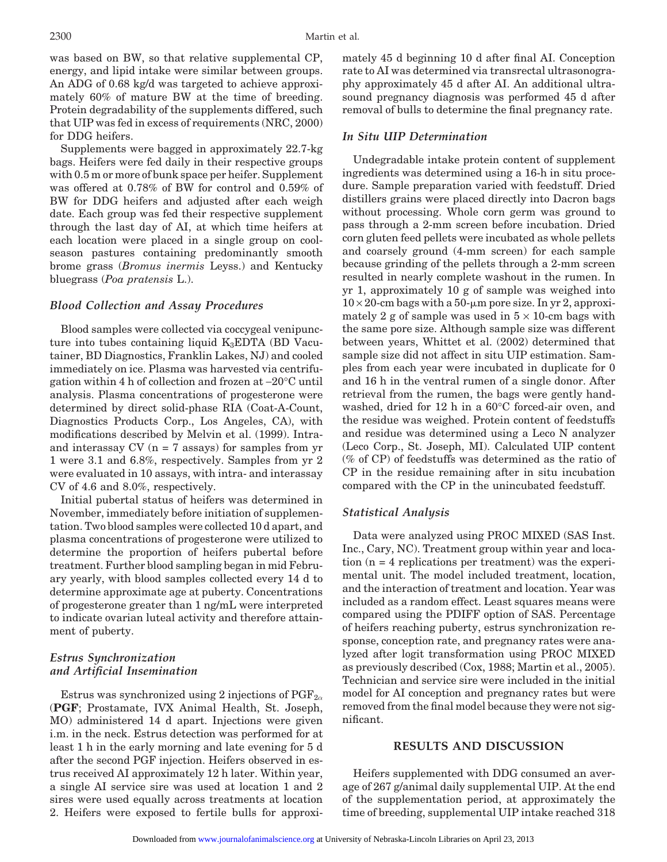was based on BW, so that relative supplemental CP, energy, and lipid intake were similar between groups. An ADG of 0.68 kg/d was targeted to achieve approximately 60% of mature BW at the time of breeding. Protein degradability of the supplements differed, such that UIP was fed in excess of requirements (NRC, 2000) for DDG heifers.

Supplements were bagged in approximately 22.7-kg bags. Heifers were fed daily in their respective groups with 0.5 m or more of bunk space per heifer. Supplement was offered at 0.78% of BW for control and 0.59% of BW for DDG heifers and adjusted after each weigh date. Each group was fed their respective supplement through the last day of AI, at which time heifers at each location were placed in a single group on coolseason pastures containing predominantly smooth brome grass (*Bromus inermis* Leyss.) and Kentucky bluegrass (*Poa pratensis* L.).

## *Blood Collection and Assay Procedures*

Blood samples were collected via coccygeal venipuncture into tubes containing liquid  $K_3EDTA$  (BD Vacutainer, BD Diagnostics, Franklin Lakes, NJ) and cooled immediately on ice. Plasma was harvested via centrifugation within 4 h of collection and frozen at −20°C until analysis. Plasma concentrations of progesterone were determined by direct solid-phase RIA (Coat-A-Count, Diagnostics Products Corp., Los Angeles, CA), with modifications described by Melvin et al. (1999). Intraand interassay  $CV(n = 7$  assays) for samples from  $yr$ 1 were 3.1 and 6.8%, respectively. Samples from yr 2 were evaluated in 10 assays, with intra- and interassay CV of 4.6 and 8.0%, respectively.

Initial pubertal status of heifers was determined in November, immediately before initiation of supplementation. Two blood samples were collected 10 d apart, and plasma concentrations of progesterone were utilized to determine the proportion of heifers pubertal before treatment. Further blood sampling began in mid February yearly, with blood samples collected every 14 d to determine approximate age at puberty. Concentrations of progesterone greater than 1 ng/mL were interpreted to indicate ovarian luteal activity and therefore attainment of puberty.

## *Estrus Synchronization and Artificial Insemination*

Estrus was synchronized using 2 injections of  $PGF_{2\alpha}$ (**PGF**; Prostamate, IVX Animal Health, St. Joseph, MO) administered 14 d apart. Injections were given i.m. in the neck. Estrus detection was performed for at least 1 h in the early morning and late evening for 5 d after the second PGF injection. Heifers observed in estrus received AI approximately 12 h later. Within year, a single AI service sire was used at location 1 and 2 sires were used equally across treatments at location 2. Heifers were exposed to fertile bulls for approximately 45 d beginning 10 d after final AI. Conception rate to AI was determined via transrectal ultrasonography approximately 45 d after AI. An additional ultrasound pregnancy diagnosis was performed 45 d after removal of bulls to determine the final pregnancy rate.

## *In Situ UIP Determination*

Undegradable intake protein content of supplement ingredients was determined using a 16-h in situ procedure. Sample preparation varied with feedstuff. Dried distillers grains were placed directly into Dacron bags without processing. Whole corn germ was ground to pass through a 2-mm screen before incubation. Dried corn gluten feed pellets were incubated as whole pellets and coarsely ground (4-mm screen) for each sample because grinding of the pellets through a 2-mm screen resulted in nearly complete washout in the rumen. In yr 1, approximately 10 g of sample was weighed into  $10 \times 20$ -cm bags with a 50- $\mu$ m pore size. In yr 2, approximately 2 g of sample was used in  $5 \times 10$ -cm bags with the same pore size. Although sample size was different between years, Whittet et al. (2002) determined that sample size did not affect in situ UIP estimation. Samples from each year were incubated in duplicate for 0 and 16 h in the ventral rumen of a single donor. After retrieval from the rumen, the bags were gently handwashed, dried for 12 h in a 60°C forced-air oven, and the residue was weighed. Protein content of feedstuffs and residue was determined using a Leco N analyzer (Leco Corp., St. Joseph, MI). Calculated UIP content (% of CP) of feedstuffs was determined as the ratio of CP in the residue remaining after in situ incubation compared with the CP in the unincubated feedstuff.

#### *Statistical Analysis*

Data were analyzed using PROC MIXED (SAS Inst. Inc., Cary, NC). Treatment group within year and location  $(n = 4$  replications per treatment) was the experimental unit. The model included treatment, location, and the interaction of treatment and location. Year was included as a random effect. Least squares means were compared using the PDIFF option of SAS. Percentage of heifers reaching puberty, estrus synchronization response, conception rate, and pregnancy rates were analyzed after logit transformation using PROC MIXED as previously described (Cox, 1988; Martin et al., 2005). Technician and service sire were included in the initial model for AI conception and pregnancy rates but were removed from the final model because they were not significant.

## **RESULTS AND DISCUSSION**

Heifers supplemented with DDG consumed an average of 267 g/animal daily supplemental UIP. At the end of the supplementation period, at approximately the time of breeding, supplemental UIP intake reached 318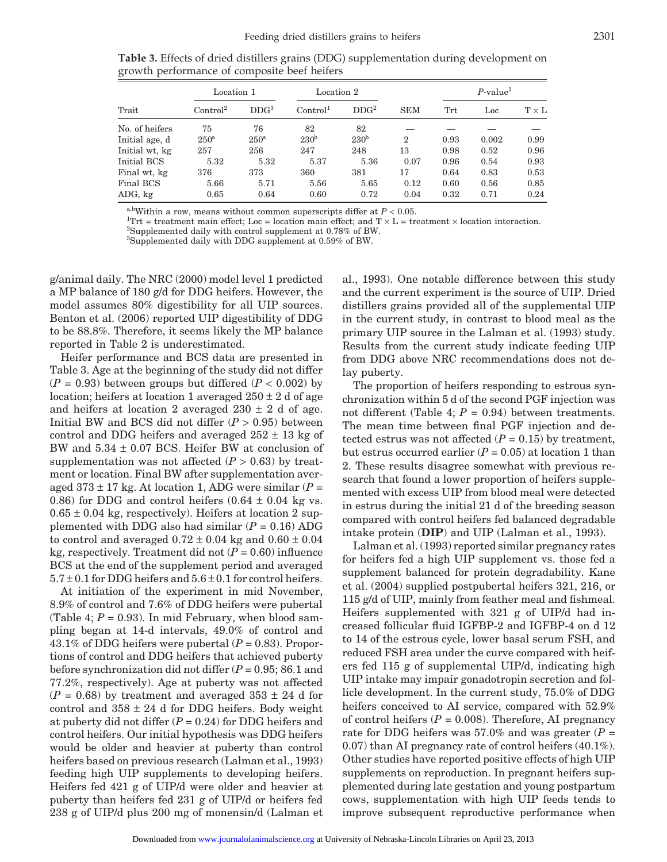|                | Location 1           |                  | Location 2           |                  |                | $P$ -value <sup>1</sup> |       |              |
|----------------|----------------------|------------------|----------------------|------------------|----------------|-------------------------|-------|--------------|
| Trait          | Control <sup>2</sup> | DDG <sup>3</sup> | Control <sup>1</sup> | DDG <sup>2</sup> | <b>SEM</b>     | Trt                     | Loc   | $T \times L$ |
| No. of heifers | 75                   | 76               | 82                   | 82               |                |                         |       |              |
| Initial age, d | 250 <sup>a</sup>     | 250 <sup>a</sup> | 230 <sup>b</sup>     | 230 <sup>b</sup> | $\overline{2}$ | 0.93                    | 0.002 | 0.99         |
| Initial wt, kg | 257                  | 256              | 247                  | 248              | 13             | 0.98                    | 0.52  | 0.96         |
| Initial BCS    | 5.32                 | 5.32             | 5.37                 | 5.36             | 0.07           | 0.96                    | 0.54  | 0.93         |
| Final wt, kg   | 376                  | 373              | 360                  | 381              | 17             | 0.64                    | 0.83  | 0.53         |
| Final BCS      | 5.66                 | 5.71             | 5.56                 | 5.65             | 0.12           | 0.60                    | 0.56  | 0.85         |
| ADG, kg        | 0.65                 | 0.64             | 0.60                 | 0.72             | 0.04           | 0.32                    | 0.71  | 0.24         |

**Table 3.** Effects of dried distillers grains (DDG) supplementation during development on growth performance of composite beef heifers

a,bWithin a row, means without common superscripts differ at  $P < 0.05$ .

<sup>1</sup>Trt = treatment main effect; Loc = location main effect; and  $T \times L$  = treatment  $\times$  location interaction.

Supplemented daily with control supplement at 0.78% of BW.

3 Supplemented daily with DDG supplement at 0.59% of BW.

g/animal daily. The NRC (2000) model level 1 predicted a MP balance of 180 g/d for DDG heifers. However, the model assumes 80% digestibility for all UIP sources. Benton et al. (2006) reported UIP digestibility of DDG to be 88.8%. Therefore, it seems likely the MP balance reported in Table 2 is underestimated.

Heifer performance and BCS data are presented in Table 3. Age at the beginning of the study did not differ  $(P = 0.93)$  between groups but differed  $(P < 0.002)$  by location; heifers at location 1 averaged  $250 \pm 2$  d of age and heifers at location 2 averaged  $230 \pm 2$  d of age. Initial BW and BCS did not differ  $(P > 0.95)$  between control and DDG heifers and averaged  $252 \pm 13$  kg of BW and 5.34 ± 0.07 BCS. Heifer BW at conclusion of supplementation was not affected  $(P > 0.63)$  by treatment or location. Final BW after supplementation averaged  $373 \pm 17$  kg. At location 1, ADG were similar ( $P =$ 0.86) for DDG and control heifers  $(0.64 \pm 0.04 \text{ kg} \text{ vs.})$  $0.65 \pm 0.04$  kg, respectively). Heifers at location 2 supplemented with DDG also had similar  $(P = 0.16)$  ADG to control and averaged  $0.72 \pm 0.04$  kg and  $0.60 \pm 0.04$ kg, respectively. Treatment did not  $(P = 0.60)$  influence BCS at the end of the supplement period and averaged  $5.7 \pm 0.1$  for DDG heifers and  $5.6 \pm 0.1$  for control heifers.

At initiation of the experiment in mid November, 8.9% of control and 7.6% of DDG heifers were pubertal (Table 4;  $P = 0.93$ ). In mid February, when blood sampling began at 14-d intervals, 49.0% of control and 43.1% of DDG heifers were pubertal  $(P = 0.83)$ . Proportions of control and DDG heifers that achieved puberty before synchronization did not differ (*P* = 0.95; 86.1 and 77.2%, respectively). Age at puberty was not affected  $(P = 0.68)$  by treatment and averaged  $353 \pm 24$  d for control and  $358 \pm 24$  d for DDG heifers. Body weight at puberty did not differ  $(P = 0.24)$  for DDG heifers and control heifers. Our initial hypothesis was DDG heifers would be older and heavier at puberty than control heifers based on previous research (Lalman et al., 1993) feeding high UIP supplements to developing heifers. Heifers fed 421 g of UIP/d were older and heavier at puberty than heifers fed 231 g of UIP/d or heifers fed 238 g of UIP/d plus 200 mg of monensin/d (Lalman et al., 1993). One notable difference between this study and the current experiment is the source of UIP. Dried distillers grains provided all of the supplemental UIP in the current study, in contrast to blood meal as the primary UIP source in the Lalman et al. (1993) study. Results from the current study indicate feeding UIP from DDG above NRC recommendations does not delay puberty.

The proportion of heifers responding to estrous synchronization within 5 d of the second PGF injection was not different (Table 4;  $P = 0.94$ ) between treatments. The mean time between final PGF injection and detected estrus was not affected  $(P = 0.15)$  by treatment, but estrus occurred earlier  $(P = 0.05)$  at location 1 than 2. These results disagree somewhat with previous research that found a lower proportion of heifers supplemented with excess UIP from blood meal were detected in estrus during the initial 21 d of the breeding season compared with control heifers fed balanced degradable intake protein (**DIP**) and UIP (Lalman et al., 1993).

Lalman et al. (1993) reported similar pregnancy rates for heifers fed a high UIP supplement vs. those fed a supplement balanced for protein degradability. Kane et al. (2004) supplied postpubertal heifers 321, 216, or 115 g/d of UIP, mainly from feather meal and fishmeal. Heifers supplemented with 321 g of UIP/d had increased follicular fluid IGFBP-2 and IGFBP-4 on d 12 to 14 of the estrous cycle, lower basal serum FSH, and reduced FSH area under the curve compared with heifers fed 115 g of supplemental UIP/d, indicating high UIP intake may impair gonadotropin secretion and follicle development. In the current study, 75.0% of DDG heifers conceived to AI service, compared with 52.9% of control heifers  $(P = 0.008)$ . Therefore, AI pregnancy rate for DDG heifers was 57.0% and was greater  $(P =$ 0.07) than AI pregnancy rate of control heifers (40.1%). Other studies have reported positive effects of high UIP supplements on reproduction. In pregnant heifers supplemented during late gestation and young postpartum cows, supplementation with high UIP feeds tends to improve subsequent reproductive performance when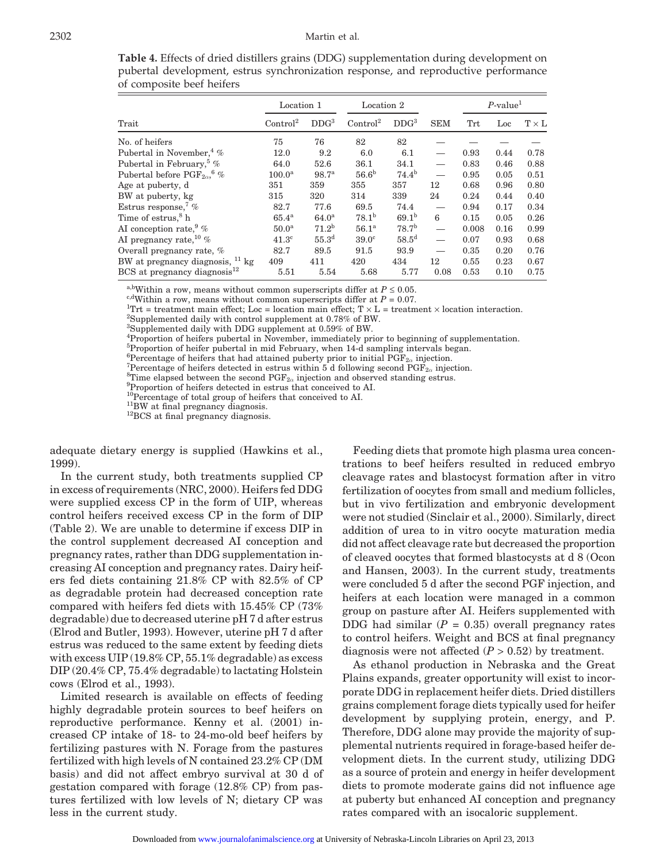|                                                | Location 1           |                   | Location 2           |                   |                          | $P$ -value <sup>1</sup> |      |              |
|------------------------------------------------|----------------------|-------------------|----------------------|-------------------|--------------------------|-------------------------|------|--------------|
| Trait                                          | Control <sup>2</sup> | DDG <sup>3</sup>  | Control <sup>2</sup> | DDG <sup>3</sup>  | <b>SEM</b>               | Trt                     | Loc  | $T \times L$ |
| No. of heifers                                 | 75                   | 76                | 82                   | 82                |                          |                         |      |              |
| Pubertal in November, $4\%$                    | 12.0                 | 9.2               | 6.0                  | 6.1               |                          | 0.93                    | 0.44 | 0.78         |
| Pubertal in February, <sup>5</sup> %           | 64.0                 | 52.6              | 36.1                 | 34.1              |                          | 0.83                    | 0.46 | 0.88         |
| Pubertal before $PGF_{2\alpha}$ <sup>6</sup> % | 100.0 <sup>a</sup>   | 98.7 <sup>a</sup> | 56.6 <sup>b</sup>    | $74.4^{b}$        |                          | 0.95                    | 0.05 | 0.51         |
| Age at puberty, d                              | 351                  | 359               | 355                  | 357               | 12                       | 0.68                    | 0.96 | 0.80         |
| BW at puberty, kg                              | 315                  | 320               | 314                  | 339               | 24                       | 0.24                    | 0.44 | 0.40         |
| Estrus response, $\%$                          | 82.7                 | 77.6              | 69.5                 | 74.4              |                          | 0.94                    | 0.17 | 0.34         |
| Time of estrus, <sup>8</sup> h                 | $65.4^{\rm a}$       | 64.0 <sup>a</sup> | $78.1^{b}$           | $69.1^{b}$        | 6                        | 0.15                    | 0.05 | 0.26         |
| AI conception rate, $\%$                       | 50.0 <sup>a</sup>    | 71.2 <sup>b</sup> | 56.1 <sup>a</sup>    | 78.7 <sup>b</sup> | $\overline{\phantom{0}}$ | 0.008                   | 0.16 | 0.99         |
| AI pregnancy rate, $10\%$                      | $41.3^\circ$         | 55.3 <sup>d</sup> | 39.0 <sup>c</sup>    | $58.5^{\rm d}$    |                          | 0.07                    | 0.93 | 0.68         |
| Overall pregnancy rate, %                      | 82.7                 | 89.5              | 91.5                 | 93.9              |                          | 0.35                    | 0.20 | 0.76         |
| BW at pregnancy diagnosis, <sup>11</sup> kg    | 409                  | 411               | 420                  | 434               | 12                       | 0.55                    | 0.23 | 0.67         |
| BCS at pregnancy diagnosis $^{12}$             | 5.51                 | 5.54              | 5.68                 | 5.77              | 0.08                     | 0.53                    | 0.10 | 0.75         |

**Table 4.** Effects of dried distillers grains (DDG) supplementation during development on pubertal development, estrus synchronization response, and reproductive performance of composite beef heifers

<sup>a,b</sup>Within a row, means without common superscripts differ at  $P \le 0.05$ .

<sup>c,d</sup>Within a row, means without common superscripts differ at  $P = 0.07$ .

<sup>1</sup>Trt = treatment main effect; Loc = location main effect; T  $\times$  L = treatment  $\times$  location interaction.

Supplemented daily with control supplement at 0.78% of BW.

3 Supplemented daily with DDG supplement at 0.59% of BW.

4 Proportion of heifers pubertal in November, immediately prior to beginning of supplementation.

5 Proportion of heifer pubertal in mid February, when 14-d sampling intervals began.

<sup>6</sup>Percentage of heifers that had attained puberty prior to initial  $PGF_{2\alpha}$  injection.<br><sup>7</sup>Percentage of heifers detected in estrus within 5.4 following second PCF, injection.

Percentage of heifers detected in estrus within 5 d following second  $PGF_{2\alpha}$  injection.

<sup>8</sup>Time elapsed between the second  $PGF_{2\alpha}$  injection and observed standing estrus.

Proportion of heifers detected in estrus that conceived to AI.

<sup>10</sup>Percentage of total group of heifers that conceived to AI.<br><sup>11</sup>BW at final pregnancy diagnosis. <sup>12</sup>BCS at final pregnancy diagnosis.

adequate dietary energy is supplied (Hawkins et al., 1999).

In the current study, both treatments supplied CP in excess of requirements (NRC, 2000). Heifers fed DDG were supplied excess CP in the form of UIP, whereas control heifers received excess CP in the form of DIP (Table 2). We are unable to determine if excess DIP in the control supplement decreased AI conception and pregnancy rates, rather than DDG supplementation increasing AI conception and pregnancy rates. Dairy heifers fed diets containing 21.8% CP with 82.5% of CP as degradable protein had decreased conception rate compared with heifers fed diets with 15.45% CP (73% degradable) due to decreased uterine pH 7 d after estrus (Elrod and Butler, 1993). However, uterine pH 7 d after estrus was reduced to the same extent by feeding diets with excess UIP (19.8% CP, 55.1% degradable) as excess DIP (20.4% CP, 75.4% degradable) to lactating Holstein cows (Elrod et al., 1993).

Limited research is available on effects of feeding highly degradable protein sources to beef heifers on reproductive performance. Kenny et al. (2001) increased CP intake of 18- to 24-mo-old beef heifers by fertilizing pastures with N. Forage from the pastures fertilized with high levels of N contained 23.2% CP (DM basis) and did not affect embryo survival at 30 d of gestation compared with forage (12.8% CP) from pastures fertilized with low levels of N; dietary CP was less in the current study.

Feeding diets that promote high plasma urea concentrations to beef heifers resulted in reduced embryo cleavage rates and blastocyst formation after in vitro fertilization of oocytes from small and medium follicles, but in vivo fertilization and embryonic development were not studied (Sinclair et al., 2000). Similarly, direct addition of urea to in vitro oocyte maturation media did not affect cleavage rate but decreased the proportion of cleaved oocytes that formed blastocysts at d 8 (Ocon and Hansen, 2003). In the current study, treatments were concluded 5 d after the second PGF injection, and heifers at each location were managed in a common group on pasture after AI. Heifers supplemented with DDG had similar  $(P = 0.35)$  overall pregnancy rates to control heifers. Weight and BCS at final pregnancy diagnosis were not affected  $(P > 0.52)$  by treatment.

As ethanol production in Nebraska and the Great Plains expands, greater opportunity will exist to incorporate DDG in replacement heifer diets. Dried distillers grains complement forage diets typically used for heifer development by supplying protein, energy, and P. Therefore, DDG alone may provide the majority of supplemental nutrients required in forage-based heifer development diets. In the current study, utilizing DDG as a source of protein and energy in heifer development diets to promote moderate gains did not influence age at puberty but enhanced AI conception and pregnancy rates compared with an isocaloric supplement.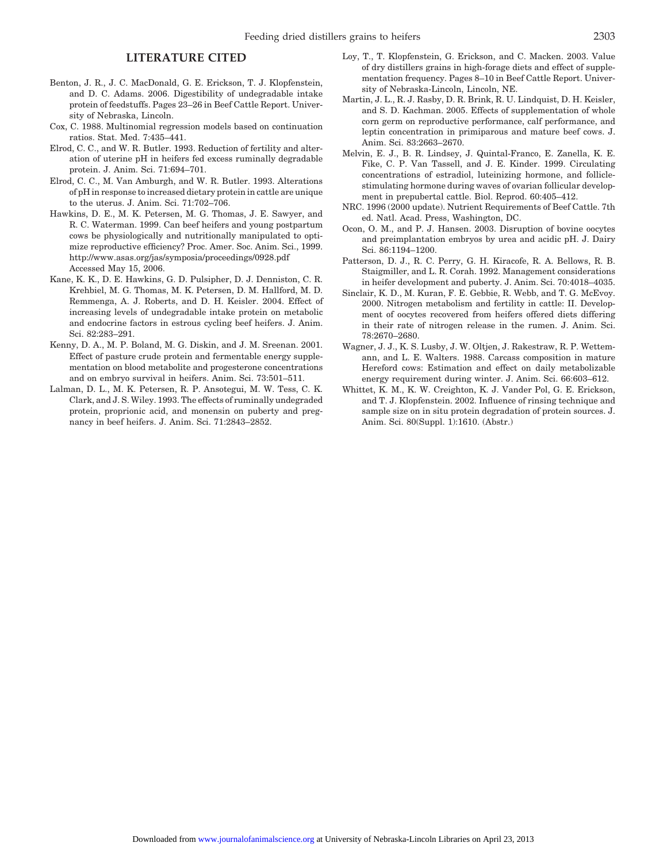## **LITERATURE CITED**

- Benton, J. R., J. C. MacDonald, G. E. Erickson, T. J. Klopfenstein, and D. C. Adams. 2006. Digestibility of undegradable intake protein of feedstuffs. Pages 23–26 in Beef Cattle Report. University of Nebraska, Lincoln.
- Cox, C. 1988. Multinomial regression models based on continuation ratios. Stat. Med. 7:435–441.
- Elrod, C. C., and W. R. Butler. 1993. Reduction of fertility and alteration of uterine pH in heifers fed excess ruminally degradable protein. J. Anim. Sci. 71:694–701.
- Elrod, C. C., M. Van Amburgh, and W. R. Butler. 1993. Alterations of pH in response to increased dietary protein in cattle are unique to the uterus. J. Anim. Sci. 71:702–706.
- Hawkins, D. E., M. K. Petersen, M. G. Thomas, J. E. Sawyer, and R. C. Waterman. 1999. Can beef heifers and young postpartum cows be physiologically and nutritionally manipulated to optimize reproductive efficiency? Proc. Amer. Soc. Anim. Sci., 1999. http://www.asas.org/jas/symposia/proceedings/0928.pdf Accessed May 15, 2006.
- Kane, K. K., D. E. Hawkins, G. D. Pulsipher, D. J. Denniston, C. R. Krehbiel, M. G. Thomas, M. K. Petersen, D. M. Hallford, M. D. Remmenga, A. J. Roberts, and D. H. Keisler. 2004. Effect of increasing levels of undegradable intake protein on metabolic and endocrine factors in estrous cycling beef heifers. J. Anim. Sci. 82:283–291.
- Kenny, D. A., M. P. Boland, M. G. Diskin, and J. M. Sreenan. 2001. Effect of pasture crude protein and fermentable energy supplementation on blood metabolite and progesterone concentrations and on embryo survival in heifers. Anim. Sci. 73:501–511.
- Lalman, D. L., M. K. Petersen, R. P. Ansotegui, M. W. Tess, C. K. Clark, and J. S. Wiley. 1993. The effects of ruminally undegraded protein, proprionic acid, and monensin on puberty and pregnancy in beef heifers. J. Anim. Sci. 71:2843–2852.
- Loy, T., T. Klopfenstein, G. Erickson, and C. Macken. 2003. Value of dry distillers grains in high-forage diets and effect of supplementation frequency. Pages 8–10 in Beef Cattle Report. University of Nebraska-Lincoln, Lincoln, NE.
- Martin, J. L., R. J. Rasby, D. R. Brink, R. U. Lindquist, D. H. Keisler, and S. D. Kachman. 2005. Effects of supplementation of whole corn germ on reproductive performance, calf performance, and leptin concentration in primiparous and mature beef cows. J. Anim. Sci. 83:2663–2670.
- Melvin, E. J., B. R. Lindsey, J. Quintal-Franco, E. Zanella, K. E. Fike, C. P. Van Tassell, and J. E. Kinder. 1999. Circulating concentrations of estradiol, luteinizing hormone, and folliclestimulating hormone during waves of ovarian follicular development in prepubertal cattle. Biol. Reprod. 60:405–412.
- NRC. 1996 (2000 update). Nutrient Requirements of Beef Cattle. 7th ed. Natl. Acad. Press, Washington, DC.
- Ocon, O. M., and P. J. Hansen. 2003. Disruption of bovine oocytes and preimplantation embryos by urea and acidic pH. J. Dairy Sci. 86:1194–1200.
- Patterson, D. J., R. C. Perry, G. H. Kiracofe, R. A. Bellows, R. B. Staigmiller, and L. R. Corah. 1992. Management considerations in heifer development and puberty. J. Anim. Sci. 70:4018–4035.
- Sinclair, K. D., M. Kuran, F. E. Gebbie, R. Webb, and T. G. McEvoy. 2000. Nitrogen metabolism and fertility in cattle: II. Development of oocytes recovered from heifers offered diets differing in their rate of nitrogen release in the rumen. J. Anim. Sci. 78:2670–2680.
- Wagner, J. J., K. S. Lusby, J. W. Oltjen, J. Rakestraw, R. P. Wettemann, and L. E. Walters. 1988. Carcass composition in mature Hereford cows: Estimation and effect on daily metabolizable energy requirement during winter. J. Anim. Sci. 66:603–612.
- Whittet, K. M., K. W. Creighton, K. J. Vander Pol, G. E. Erickson, and T. J. Klopfenstein. 2002. Influence of rinsing technique and sample size on in situ protein degradation of protein sources. J. Anim. Sci. 80(Suppl. 1):1610. (Abstr.)